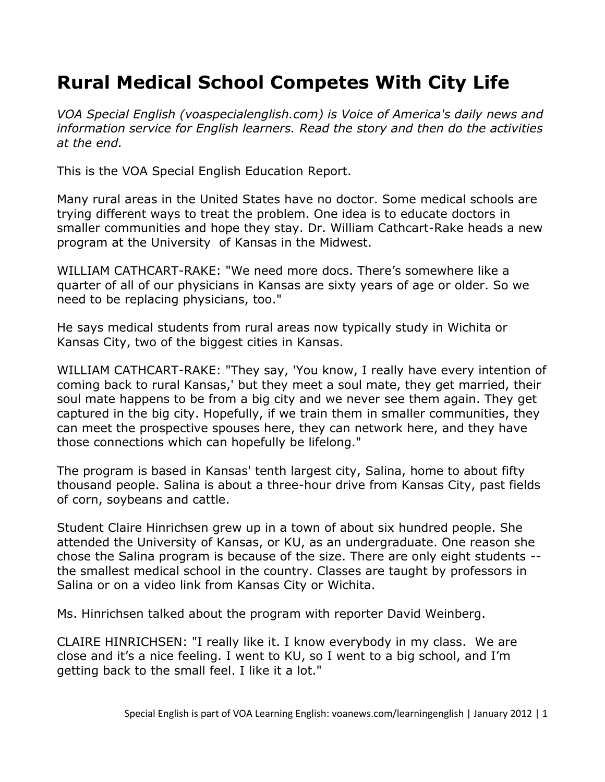## **Rural Medical School Competes With City Life**

*VOA Special English (voaspecialenglish.com) is Voice of America's daily news and information service for English learners. Read the story and then do the activities at the end.*

This is the VOA Special English Education Report.

Many rural areas in the United States have no doctor. Some medical schools are trying different ways to treat the problem. One idea is to educate doctors in smaller communities and hope they stay. Dr. William Cathcart-Rake heads a new program at the University of Kansas in the Midwest.

WILLIAM CATHCART-RAKE: "We need more docs. There's somewhere like a quarter of all of our physicians in Kansas are sixty years of age or older. So we need to be replacing physicians, too."

He says medical students from rural areas now typically study in Wichita or Kansas City, two of the biggest cities in Kansas.

WILLIAM CATHCART-RAKE: "They say, 'You know, I really have every intention of coming back to rural Kansas,' but they meet a soul mate, they get married, their soul mate happens to be from a big city and we never see them again. They get captured in the big city. Hopefully, if we train them in smaller communities, they can meet the prospective spouses here, they can network here, and they have those connections which can hopefully be lifelong."

The program is based in Kansas' tenth largest city, Salina, home to about fifty thousand people. Salina is about a three-hour drive from Kansas City, past fields of corn, soybeans and cattle.

Student Claire Hinrichsen grew up in a town of about six hundred people. She attended the University of Kansas, or KU, as an undergraduate. One reason she chose the Salina program is because of the size. There are only eight students - the smallest medical school in the country. Classes are taught by professors in Salina or on a video link from Kansas City or Wichita.

Ms. Hinrichsen talked about the program with reporter David Weinberg.

CLAIRE HINRICHSEN: "I really like it. I know everybody in my class. We are close and it's a nice feeling. I went to KU, so I went to a big school, and I'm getting back to the small feel. I like it a lot."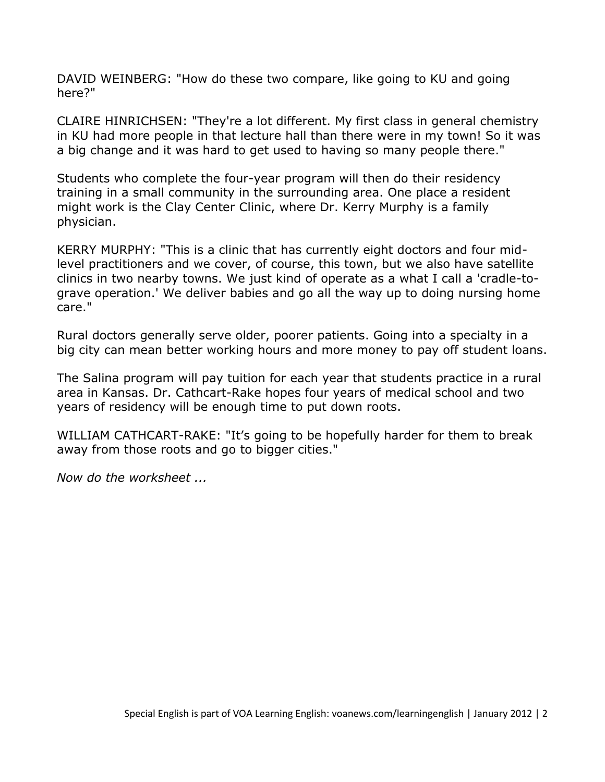DAVID WEINBERG: "How do these two compare, like going to KU and going here?"

CLAIRE HINRICHSEN: "They're a lot different. My first class in general chemistry in KU had more people in that lecture hall than there were in my town! So it was a big change and it was hard to get used to having so many people there."

Students who complete the four-year program will then do their residency training in a small community in the surrounding area. One place a resident might work is the Clay Center Clinic, where Dr. Kerry Murphy is a family physician.

KERRY MURPHY: "This is a clinic that has currently eight doctors and four midlevel practitioners and we cover, of course, this town, but we also have satellite clinics in two nearby towns. We just kind of operate as a what I call a 'cradle-tograve operation.' We deliver babies and go all the way up to doing nursing home care."

Rural doctors generally serve older, poorer patients. Going into a specialty in a big city can mean better working hours and more money to pay off student loans.

The Salina program will pay tuition for each year that students practice in a rural area in Kansas. Dr. Cathcart-Rake hopes four years of medical school and two years of residency will be enough time to put down roots.

WILLIAM CATHCART-RAKE: "It's going to be hopefully harder for them to break away from those roots and go to bigger cities."

*Now do the worksheet ...*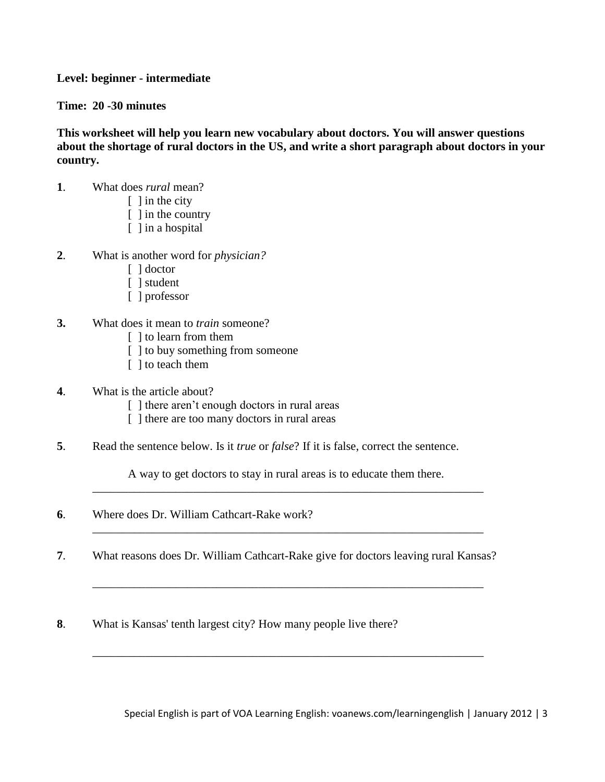## **Level: beginner - intermediate**

**Time: 20 -30 minutes** 

**This worksheet will help you learn new vocabulary about doctors. You will answer questions about the shortage of rural doctors in the US, and write a short paragraph about doctors in your country.**

- **1**. What does *rural* mean?
	- $\lceil$  1 in the city
	- [ ] in the country
	- [ ] in a hospital
- **2**. What is another word for *physician?*
	- [ ] doctor
	- [ ] student
	- [ ] professor
- **3.** What does it mean to *train* someone?
	- [ ] to learn from them
	- [ ] to buy something from someone
	- [ ] to teach them
- **4**. What is the article about?
	- [ ] there aren't enough doctors in rural areas
	- [ ] there are too many doctors in rural areas
- **5**. Read the sentence below. Is it *true* or *false*? If it is false, correct the sentence.

A way to get doctors to stay in rural areas is to educate them there. \_\_\_\_\_\_\_\_\_\_\_\_\_\_\_\_\_\_\_\_\_\_\_\_\_\_\_\_\_\_\_\_\_\_\_\_\_\_\_\_\_\_\_\_\_\_\_\_\_\_\_\_\_\_\_\_\_\_\_\_\_\_\_\_\_\_

\_\_\_\_\_\_\_\_\_\_\_\_\_\_\_\_\_\_\_\_\_\_\_\_\_\_\_\_\_\_\_\_\_\_\_\_\_\_\_\_\_\_\_\_\_\_\_\_\_\_\_\_\_\_\_\_\_\_\_\_\_\_\_\_\_\_

\_\_\_\_\_\_\_\_\_\_\_\_\_\_\_\_\_\_\_\_\_\_\_\_\_\_\_\_\_\_\_\_\_\_\_\_\_\_\_\_\_\_\_\_\_\_\_\_\_\_\_\_\_\_\_\_\_\_\_\_\_\_\_\_\_\_

\_\_\_\_\_\_\_\_\_\_\_\_\_\_\_\_\_\_\_\_\_\_\_\_\_\_\_\_\_\_\_\_\_\_\_\_\_\_\_\_\_\_\_\_\_\_\_\_\_\_\_\_\_\_\_\_\_\_\_\_\_\_\_\_\_\_

- **6**. Where does Dr. William Cathcart-Rake work?
- **7**. What reasons does Dr. William Cathcart-Rake give for doctors leaving rural Kansas?
- **8**. What is Kansas' tenth largest city? How many people live there?

Special English is part of VOA Learning English: voanews.com/learningenglish | January 2012 | 3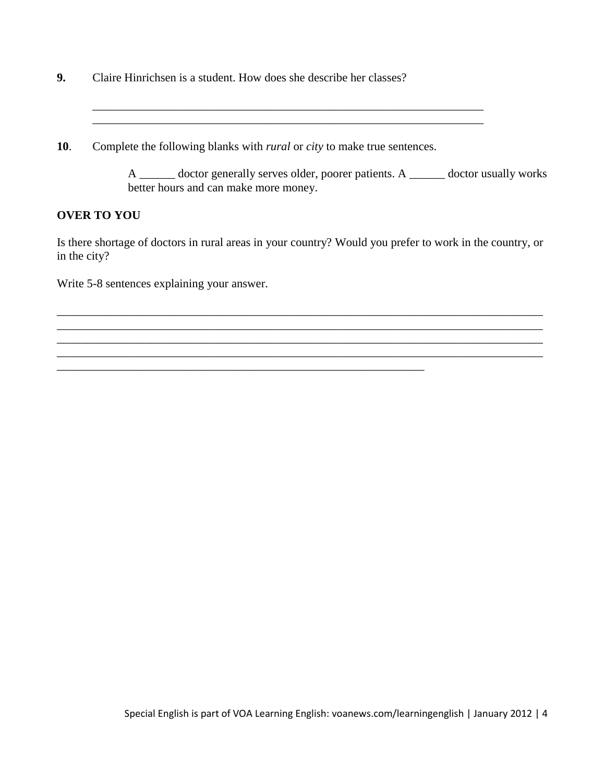**9.** Claire Hinrichsen is a student. How does she describe her classes?

**10**. Complete the following blanks with *rural* or *city* to make true sentences.

\_\_\_\_\_\_\_\_\_\_\_\_\_\_\_\_\_\_\_\_\_\_\_\_\_\_\_\_\_\_\_\_\_\_\_\_\_\_\_\_\_\_\_\_\_\_\_\_\_\_\_\_\_\_\_\_\_\_\_\_\_\_

A \_\_\_\_\_\_ doctor generally serves older, poorer patients. A \_\_\_\_\_\_ doctor usually works better hours and can make more money.

## **OVER TO YOU**

Is there shortage of doctors in rural areas in your country? Would you prefer to work in the country, or in the city?

\_\_\_\_\_\_\_\_\_\_\_\_\_\_\_\_\_\_\_\_\_\_\_\_\_\_\_\_\_\_\_\_\_\_\_\_\_\_\_\_\_\_\_\_\_\_\_\_\_\_\_\_\_\_\_\_\_\_\_\_\_\_\_\_\_\_\_\_\_\_\_\_\_\_\_\_\_\_\_\_\_\_ \_\_\_\_\_\_\_\_\_\_\_\_\_\_\_\_\_\_\_\_\_\_\_\_\_\_\_\_\_\_\_\_\_\_\_\_\_\_\_\_\_\_\_\_\_\_\_\_\_\_\_\_\_\_\_\_\_\_\_\_\_\_\_\_\_\_\_\_\_\_\_\_\_\_\_\_\_\_\_\_\_\_

\_\_\_\_\_\_\_\_\_\_\_\_\_\_\_\_\_\_\_\_\_\_\_\_\_\_\_\_\_\_\_\_\_\_\_\_\_\_\_\_\_\_\_\_\_\_\_\_\_\_\_\_\_\_\_\_\_\_\_\_\_\_\_\_\_\_\_\_\_\_\_\_\_\_\_\_\_\_\_\_\_\_

\_\_\_\_\_\_\_\_\_\_\_\_\_\_\_\_\_\_\_\_\_\_\_\_\_\_\_\_\_\_\_\_\_\_\_\_\_\_\_\_\_\_\_\_\_\_\_\_\_\_\_\_\_\_\_\_\_\_\_\_\_\_\_\_\_\_

Write 5-8 sentences explaining your answer.